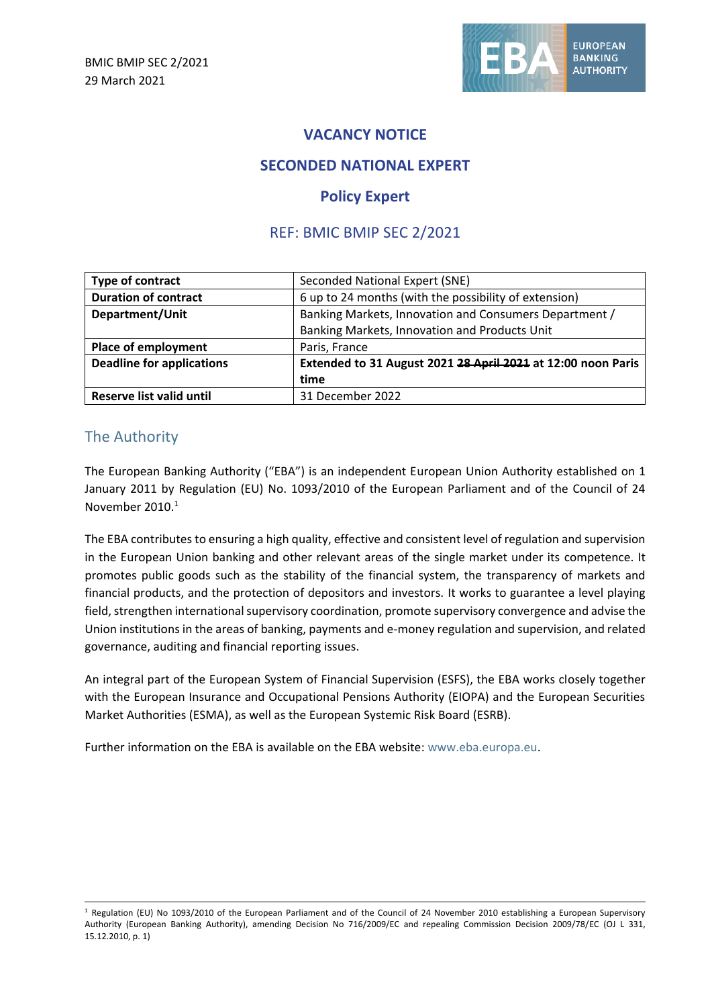

# **VACANCY NOTICE**

# **SECONDED NATIONAL EXPERT**

## **Policy Expert**

# REF: BMIC BMIP SEC 2/2021

| Type of contract                 | Seconded National Expert (SNE)                               |
|----------------------------------|--------------------------------------------------------------|
| <b>Duration of contract</b>      | 6 up to 24 months (with the possibility of extension)        |
| Department/Unit                  | Banking Markets, Innovation and Consumers Department /       |
|                                  | Banking Markets, Innovation and Products Unit                |
| Place of employment              | Paris, France                                                |
| <b>Deadline for applications</b> | Extended to 31 August 2021 28 April 2021 at 12:00 noon Paris |
|                                  | time                                                         |
| Reserve list valid until         | 31 December 2022                                             |

### The Authority

The European Banking Authority ("EBA") is an independent European Union Authority established on 1 January 2011 by Regulation (EU) No. 1093/2010 of the European Parliament and of the Council of 24 November 2010. 1

The EBA contributes to ensuring a high quality, effective and consistent level of regulation and supervision in the European Union banking and other relevant areas of the single market under its competence. It promotes public goods such as the stability of the financial system, the transparency of markets and financial products, and the protection of depositors and investors. It works to guarantee a level playing field, strengthen international supervisory coordination, promote supervisory convergence and advise the Union institutions in the areas of banking, payments and e-money regulation and supervision, and related governance, auditing and financial reporting issues.

An integral part of the European System of Financial Supervision (ESFS), the EBA works closely together with the European Insurance and Occupational Pensions Authority (EIOPA) and the European Securities Market Authorities (ESMA), as well as the European Systemic Risk Board (ESRB).

Further information on the EBA is available on the EBA website: [www.eba.europa.eu.](http://www.eba.europa.eu/)

 $1$  Regulation (EU) No 1093/2010 of the European Parliament and of the Council of 24 November 2010 establishing a European Supervisory Authority (European Banking Authority), amending Decision No 716/2009/EC and repealing Commission Decision 2009/78/EC (OJ L 331, 15.12.2010, p. 1)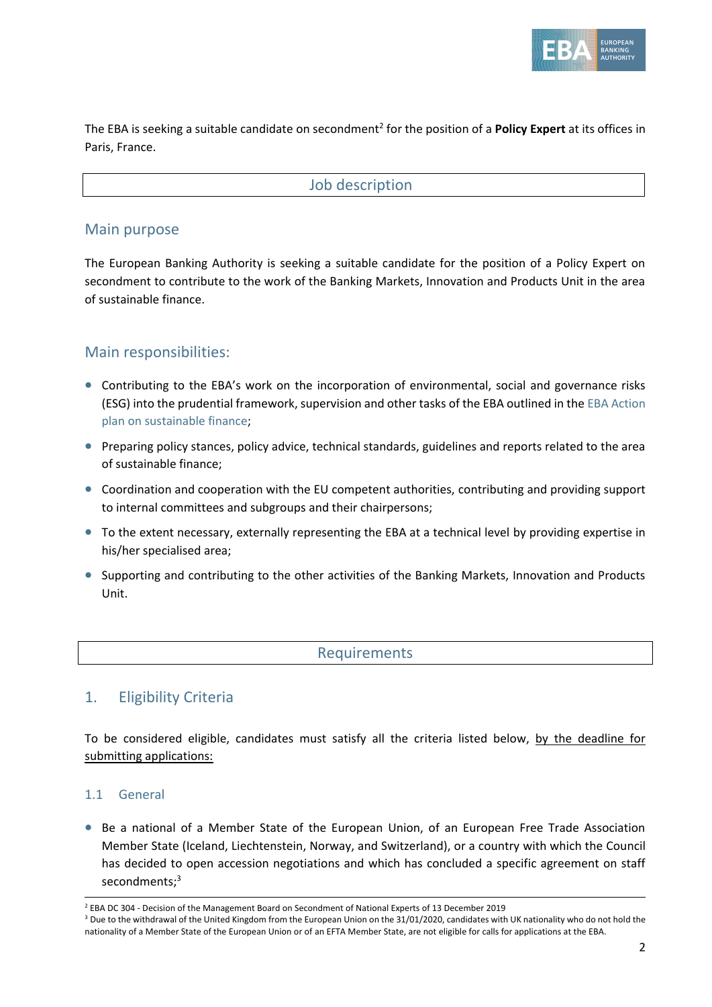

The EBA is seeking a suitable candidate on secondment<sup>2</sup> for the position of a **Policy Expert** at its offices in Paris, France.

### Job description

### Main purpose

The European Banking Authority is seeking a suitable candidate for the position of a Policy Expert on secondment to contribute to the work of the Banking Markets, Innovation and Products Unit in the area of sustainable finance.

## Main responsibilities:

- Contributing to the EBA's work on the incorporation of environmental, social and governance risks (ESG) into the prudential framework, supervision and other tasks of the EBA outlined in the [EBA Action](https://www.eba.europa.eu/sites/default/documents/files/document_library/EBA%20Action%20plan%20on%20sustainable%20finance.pdf)  [plan on sustainable finance;](https://www.eba.europa.eu/sites/default/documents/files/document_library/EBA%20Action%20plan%20on%20sustainable%20finance.pdf)
- Preparing policy stances, policy advice, technical standards, guidelines and reports related to the area of sustainable finance;
- Coordination and cooperation with the EU competent authorities, contributing and providing support to internal committees and subgroups and their chairpersons;
- To the extent necessary, externally representing the EBA at a technical level by providing expertise in his/her specialised area;
- Supporting and contributing to the other activities of the Banking Markets, Innovation and Products Unit.

### **Requirements**

## 1. Eligibility Criteria

To be considered eligible, candidates must satisfy all the criteria listed below, by the deadline for submitting applications:

#### 1.1 General

• Be a national of a Member State of the European Union, of an European Free Trade Association Member State [\(Iceland,](https://en.wikipedia.org/wiki/Iceland) [Liechtenstein,](https://en.wikipedia.org/wiki/Liechtenstein) [Norway,](https://en.wikipedia.org/wiki/Norway) and [Switzerland\)](https://en.wikipedia.org/wiki/Switzerland), or a country with which the Council has decided to open accession negotiations and which has concluded a specific agreement on staff secondments;<sup>3</sup>

<sup>&</sup>lt;sup>2</sup> EBA DC 304 - [Decision of the Management Board on Secondment of National Experts of 13 December 2019](https://eba.europa.eu/sites/default/documents/files/document_library/EBA%20DC%20304%20Decision%20on%20secondment%20of%20national%20experts_signed.pdf)

<sup>&</sup>lt;sup>3</sup> Due to the withdrawal of the United Kingdom from the European Union on the 31/01/2020, candidates with UK nationality who do not hold the nationality of a Member State of the European Union or of an EFTA Member State, are not eligible for calls for applications at the EBA.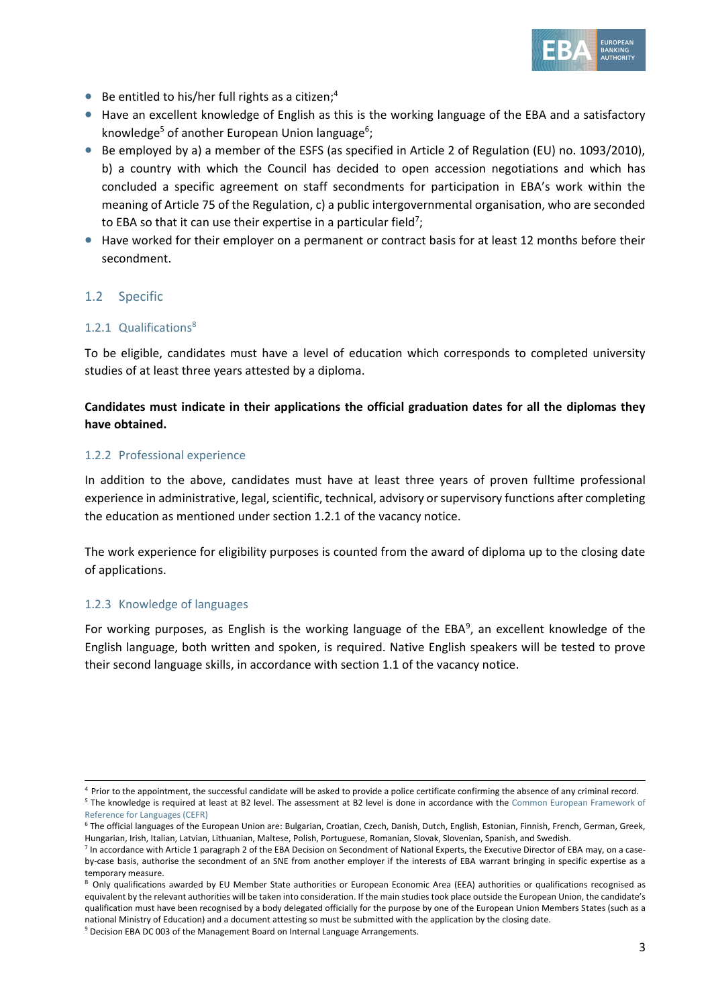

- $\bullet$  Be entitled to his/her full rights as a citizen;<sup>4</sup>
- Have an excellent knowledge of English as this is the working language of the EBA and a satisfactory knowledge<sup>5</sup> of another European Union language<sup>6</sup>;
- Be employed by a) a member of the ESFS (as specified in Article 2 of Regulation (EU) no. 1093/2010), b) a country with which the Council has decided to open accession negotiations and which has concluded a specific agreement on staff secondments for participation in EBA's work within the meaning of Article 75 of the Regulation, c) a public intergovernmental organisation, who are seconded to EBA so that it can use their expertise in a particular field<sup>7</sup>;
- Have worked for their employer on a permanent or contract basis for at least 12 months before their secondment.

#### 1.2 Specific

#### 1.2.1 Qualifications<sup>8</sup>

To be eligible, candidates must have a level of education which corresponds to completed university studies of at least three years attested by a diploma.

#### **Candidates must indicate in their applications the official graduation dates for all the diplomas they have obtained.**

#### 1.2.2 Professional experience

In addition to the above, candidates must have at least three years of proven fulltime professional experience in administrative, legal, scientific, technical, advisory or supervisory functions after completing the education as mentioned under section 1.2.1 of the vacancy notice.

The work experience for eligibility purposes is counted from the award of diploma up to the closing date of applications.

#### 1.2.3 Knowledge of languages

For working purposes, as English is the working language of the EBA<sup>9</sup>, an excellent knowledge of the English language, both written and spoken, is required. Native English speakers will be tested to prove their second language skills, in accordance with section 1.1 of the vacancy notice.

<sup>4</sup> Prior to the appointment, the successful candidate will be asked to provide a police certificate confirming the absence of any criminal record. <sup>5</sup> The knowledge is required at least at B2 level. The assessment at B2 level is done in accordance with the Common European Framework of

[Reference for Languages \(CEFR\)](https://europa.eu/europass/en/common-european-framework-reference)

<sup>6</sup> The official languages of the European Union are: Bulgarian, Croatian, Czech, Danish, Dutch, English, Estonian, Finnish, French, German, Greek, Hungarian, Irish, Italian, Latvian, Lithuanian, Maltese, Polish, Portuguese, Romanian, Slovak, Slovenian, Spanish, and Swedish.

<sup>&</sup>lt;sup>7</sup> In accordance with Article 1 paragraph 2 of the EBA Decision on Secondment of National Experts, the Executive Director of EBA may, on a caseby-case basis, authorise the secondment of an SNE from another employer if the interests of EBA warrant bringing in specific expertise as a temporary measure.

<sup>&</sup>lt;sup>8</sup> Only qualifications awarded by EU Member State authorities or European Economic Area (EEA) authorities or qualifications recognised as equivalent by the relevant authorities will be taken into consideration. If the main studies took place outside the European Union, the candidate's qualification must have been recognised by a body delegated officially for the purpose by one of the European Union Members States (such as a national Ministry of Education) and a document attesting so must be submitted with the application by the closing date.

<sup>&</sup>lt;sup>9</sup> [Decision EBA DC 003 of the Management Board on Internal Language Arrangements.](https://eba.europa.eu/sites/default/documents/files/documents/10180/16082/a4e572a4-f91c-46ce-8814-c2f2c3396922/EBA-DC-003--_Language-Arrangements_---FINAL.pdf)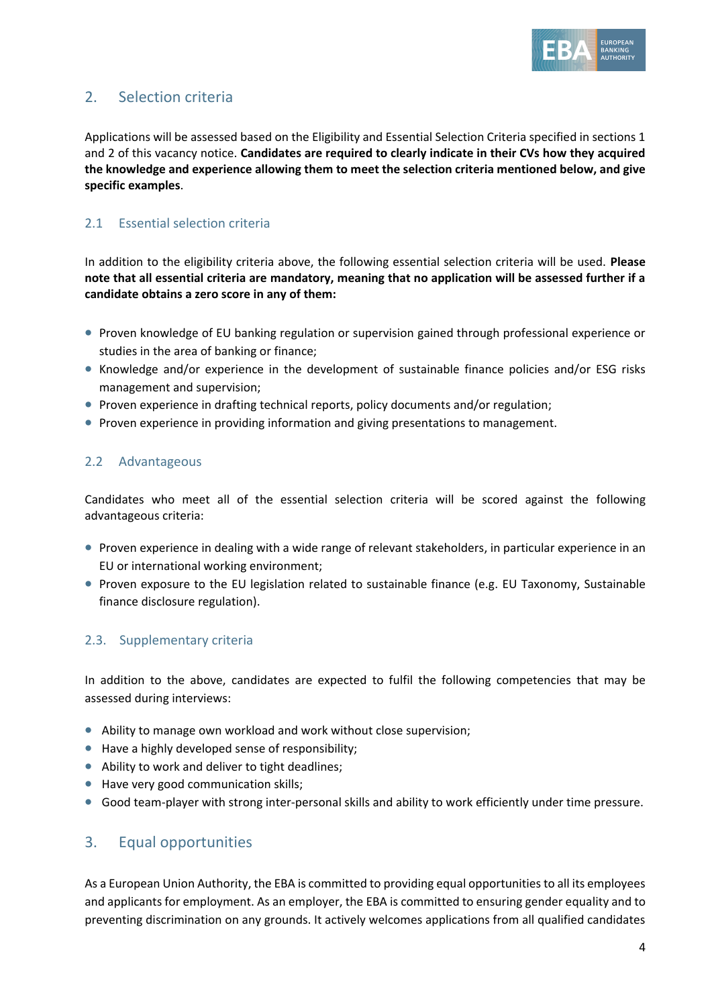

# 2. Selection criteria

Applications will be assessed based on the Eligibility and Essential Selection Criteria specified in sections 1 and 2 of this vacancy notice. **Candidates are required to clearly indicate in their CVs how they acquired the knowledge and experience allowing them to meet the selection criteria mentioned below, and give specific examples**.

### 2.1 Essential selection criteria

In addition to the eligibility criteria above, the following essential selection criteria will be used. **Please note that all essential criteria are mandatory, meaning that no application will be assessed further if a candidate obtains a zero score in any of them:** 

- Proven knowledge of EU banking regulation or supervision gained through professional experience or studies in the area of banking or finance;
- Knowledge and/or experience in the development of sustainable finance policies and/or ESG risks management and supervision;
- Proven experience in drafting technical reports, policy documents and/or regulation;
- Proven experience in providing information and giving presentations to management.

#### 2.2 Advantageous

Candidates who meet all of the essential selection criteria will be scored against the following advantageous criteria:

- Proven experience in dealing with a wide range of relevant stakeholders, in particular experience in an EU or international working environment;
- Proven exposure to the EU legislation related to sustainable finance (e.g. EU Taxonomy, Sustainable finance disclosure regulation).

### 2.3. Supplementary criteria

In addition to the above, candidates are expected to fulfil the following competencies that may be assessed during interviews:

- Ability to manage own workload and work without close supervision;
- Have a highly developed sense of responsibility;
- Ability to work and deliver to tight deadlines;
- Have very good communication skills;
- Good team-player with strong inter-personal skills and ability to work efficiently under time pressure.

### 3. Equal opportunities

As a European Union Authority, the EBA is committed to providing equal opportunities to all its employees and applicants for employment. As an employer, the EBA is committed to ensuring gender equality and to preventing discrimination on any grounds. It actively welcomes applications from all qualified candidates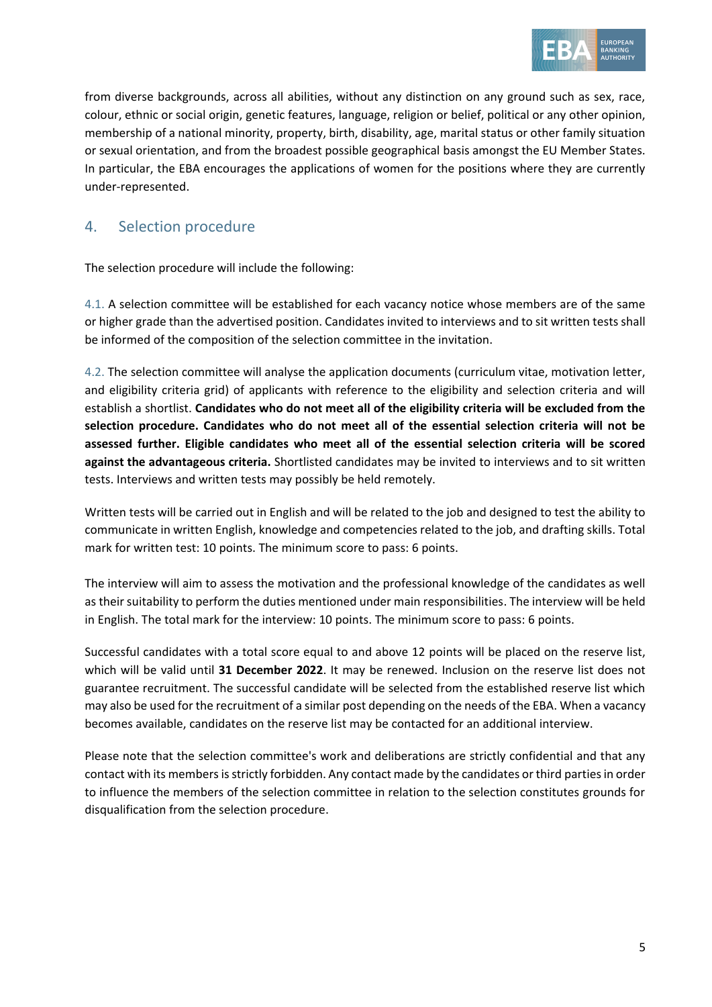

from diverse backgrounds, across all abilities, without any distinction on any ground such as sex, race, colour, ethnic or social origin, genetic features, language, religion or belief, political or any other opinion, membership of a national minority, property, birth, disability, age, marital status or other family situation or sexual orientation, and from the broadest possible geographical basis amongst the EU Member States. In particular, the EBA encourages the applications of women for the positions where they are currently under-represented.

# 4. Selection procedure

The selection procedure will include the following:

4.1. A selection committee will be established for each vacancy notice whose members are of the same or higher grade than the advertised position. Candidates invited to interviews and to sit written tests shall be informed of the composition of the selection committee in the invitation.

4.2. The selection committee will analyse the application documents (curriculum vitae, motivation letter, and eligibility criteria grid) of applicants with reference to the eligibility and selection criteria and will establish a shortlist. **Candidates who do not meet all of the eligibility criteria will be excluded from the selection procedure. Candidates who do not meet all of the essential selection criteria will not be assessed further. Eligible candidates who meet all of the essential selection criteria will be scored against the advantageous criteria.** Shortlisted candidates may be invited to interviews and to sit written tests. Interviews and written tests may possibly be held remotely.

Written tests will be carried out in English and will be related to the job and designed to test the ability to communicate in written English, knowledge and competencies related to the job, and drafting skills. Total mark for written test: 10 points. The minimum score to pass: 6 points.

The interview will aim to assess the motivation and the professional knowledge of the candidates as well as their suitability to perform the duties mentioned under main responsibilities. The interview will be held in English. The total mark for the interview: 10 points. The minimum score to pass: 6 points.

Successful candidates with a total score equal to and above 12 points will be placed on the reserve list, which will be valid until **31 December 2022**. It may be renewed. Inclusion on the reserve list does not guarantee recruitment. The successful candidate will be selected from the established reserve list which may also be used for the recruitment of a similar post depending on the needs of the EBA. When a vacancy becomes available, candidates on the reserve list may be contacted for an additional interview.

Please note that the selection committee's work and deliberations are strictly confidential and that any contact with its members is strictly forbidden. Any contact made by the candidates or third parties in order to influence the members of the selection committee in relation to the selection constitutes grounds for disqualification from the selection procedure.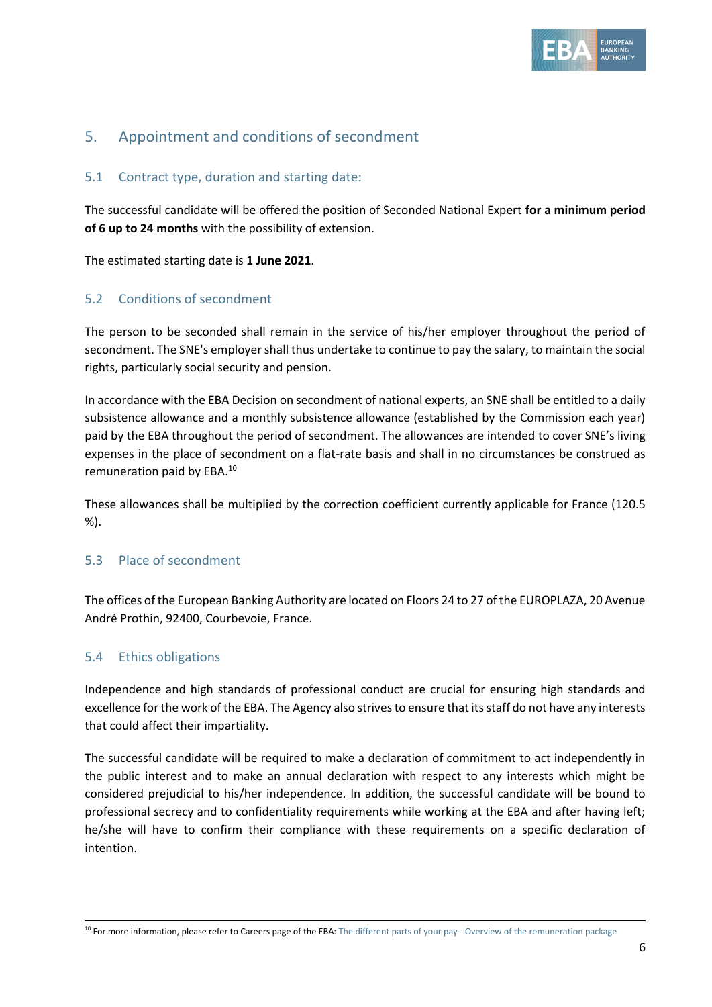

# 5. Appointment and conditions of secondment

#### 5.1 Contract type, duration and starting date:

The successful candidate will be offered the position of Seconded National Expert **for a minimum period of 6 up to 24 months** with the possibility of extension.

The estimated starting date is **1 June 2021**.

#### 5.2 Conditions of secondment

The person to be seconded shall remain in the service of his/her employer throughout the period of secondment. The SNE's employer shall thus undertake to continue to pay the salary, to maintain the social rights, particularly social security and pension.

In accordance with the EBA Decision on secondment of national experts, an SNE shall be entitled to a daily subsistence allowance and a monthly subsistence allowance (established by the Commission each year) paid by the EBA throughout the period of secondment. The allowances are intended to cover SNE's living expenses in the place of secondment on a flat-rate basis and shall in no circumstances be construed as remuneration paid by EBA.<sup>10</sup>

These allowances shall be multiplied by the correction coefficient currently applicable for France (120.5 %).

#### 5.3 Place of secondment

The offices of the European Banking Authority are located on Floors 24 to 27 of the EUROPLAZA, 20 Avenue André Prothin, 92400, Courbevoie, France.

#### 5.4 Ethics obligations

Independence and high standards of professional conduct are crucial for ensuring high standards and excellence for the work of the EBA. The Agency also strives to ensure that its staff do not have any interests that could affect their impartiality.

The successful candidate will be required to make a declaration of commitment to act independently in the public interest and to make an annual declaration with respect to any interests which might be considered prejudicial to his/her independence. In addition, the successful candidate will be bound to professional secrecy and to confidentiality requirements while working at the EBA and after having left; he/she will have to confirm their compliance with these requirements on a specific declaration of intention.

<sup>&</sup>lt;sup>10</sup> For more information, please refer to Careers page of the EBA: The different parts of your pay - [Overview of the remuneration package](https://eba.europa.eu/sites/default/documents/files/documents/10180/15751/7afda831-d9f1-4444-a1e9-368835d770f1/The%20different%20parts%20of%20your%20pay%20-%20overview%20of%20the%20remuneration%20package.pdf)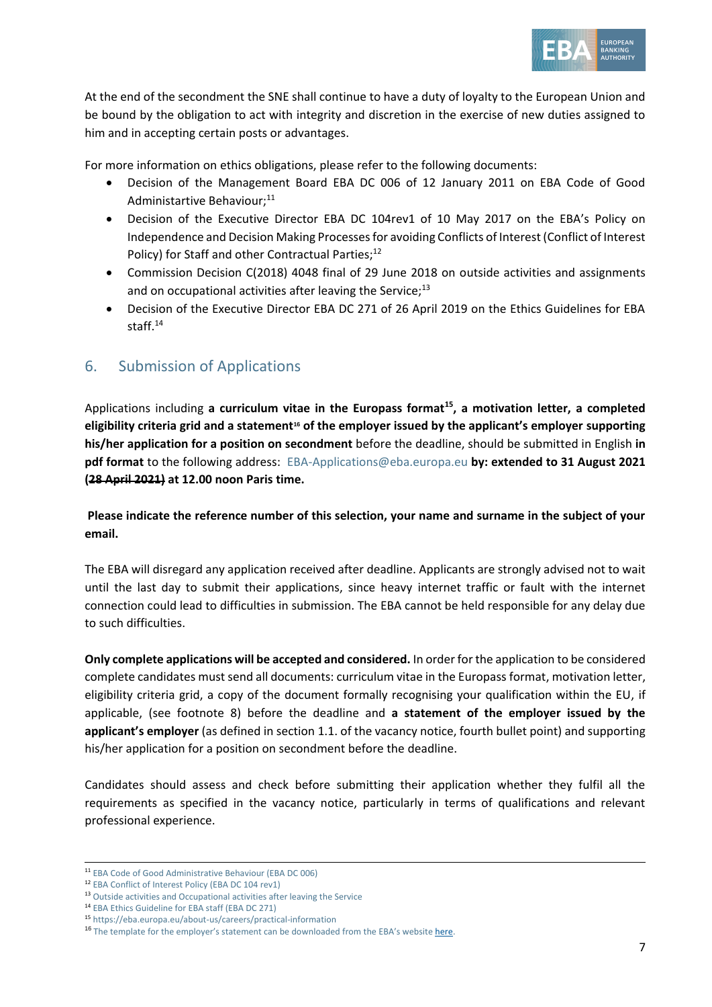

At the end of the secondment the SNE shall continue to have a duty of loyalty to the European Union and be bound by the obligation to act with integrity and discretion in the exercise of new duties assigned to him and in accepting certain posts or advantages.

For more information on ethics obligations, please refer to the following documents:

- Decision of the Management Board EBA DC 006 of 12 January 2011 on EBA Code of Good Administartive Behaviour:<sup>11</sup>
- Decision of the Executive Director EBA DC 104rev1 of 10 May 2017 on the EBA's Policy on Independence and Decision Making Processes for avoiding Conflicts of Interest (Conflict of Interest Policy) for Staff and other Contractual Parties;<sup>12</sup>
- Commission Decision C(2018) 4048 final of 29 June 2018 on outside activities and assignments and on occupational activities after leaving the Service; $^{13}$
- Decision of the Executive Director EBA DC 271 of 26 April 2019 on the Ethics Guidelines for EBA staff.<sup>14</sup>

# 6. Submission of Applications

Applications including **a curriculum vitae in the Europass format<sup>15</sup> , a motivation letter, a completed eligibility criteria grid and a statement<sup>16</sup> of the employer issued by the applicant's employer supporting his/her application for a position on secondment** before the deadline, should be submitted in English **in pdf format** to the following address: [EBA-Applications@eba.europa.eu](mailto:EBA-Applications@eba.europa.eu) **by: extended to 31 August 2021 (28 April 2021) at 12.00 noon Paris time.**

**Please indicate the reference number of this selection, your name and surname in the subject of your email.**

The EBA will disregard any application received after deadline. Applicants are strongly advised not to wait until the last day to submit their applications, since heavy internet traffic or fault with the internet connection could lead to difficulties in submission. The EBA cannot be held responsible for any delay due to such difficulties.

**Only complete applications will be accepted and considered.** In order for the application to be considered complete candidates must send all documents: curriculum vitae in the Europass format, motivation letter, eligibility criteria grid, a copy of the document formally recognising your qualification within the EU, if applicable, (see footnote 8) before the deadline and **a statement of the employer issued by the applicant's employer** (as defined in section 1.1. of the vacancy notice, fourth bullet point) and supporting his/her application for a position on secondment before the deadline.

Candidates should assess and check before submitting their application whether they fulfil all the requirements as specified in the vacancy notice, particularly in terms of qualifications and relevant professional experience.

<sup>11</sup> [EBA Code of Good Administrative Behaviour \(EBA DC 006\)](https://eba.europa.eu/sites/default/documents/files/documents/10180/16082/435054e4-0d54-42cf-ad98-57f87bfb2426/EBA-DC-006-_Code-of-Administrative-Behaviour_---FINAL.pdf)

<sup>12</sup> [EBA Conflict of Interest Policy \(EBA DC 104 rev1\)](https://eba.europa.eu/sites/default/documents/files/document_library/EBA%20DC%20104rev1%20%28CoI%20Policy%20for%20Staff%20and%20Other%20Contractual%20Parties%29_final_0.pdf)

<sup>&</sup>lt;sup>13</sup> [Outside activities and Occupational activities after leaving the Service](https://eba.europa.eu/sites/default/documents/files/document_library/897086/decision_n182_commission_decision_on_outside_activities_en.pdf)

<sup>14</sup> [EBA Ethics Guideline for EBA staff \(EBA DC 271\)](https://eba.europa.eu/sites/default/documents/files/document_library/EBA%20DC%20271%20%28Decision%20on%20the%20Revised%20Ethics%20Guidelines%20for%20Staff%29.pdf)

<sup>15</sup> <https://eba.europa.eu/about-us/careers/practical-information>

<sup>&</sup>lt;sup>16</sup> The template for the employer's statement can be downloaded from the EBA's websit[e here.](https://www.eba.europa.eu/about-us/careers/practical-information)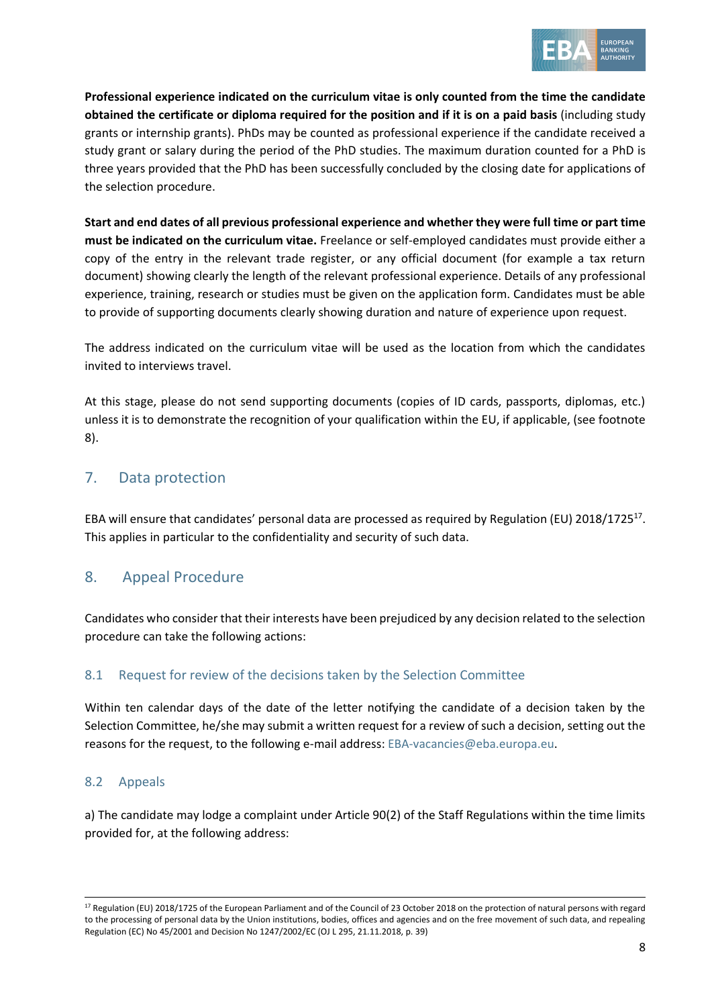

**Professional experience indicated on the curriculum vitae is only counted from the time the candidate obtained the certificate or diploma required for the position and if it is on a paid basis** (including study grants or internship grants). PhDs may be counted as professional experience if the candidate received a study grant or salary during the period of the PhD studies. The maximum duration counted for a PhD is three years provided that the PhD has been successfully concluded by the closing date for applications of the selection procedure.

**Start and end dates of all previous professional experience and whether they were full time or part time must be indicated on the curriculum vitae.** Freelance or self-employed candidates must provide either a copy of the entry in the relevant trade register, or any official document (for example a tax return document) showing clearly the length of the relevant professional experience. Details of any professional experience, training, research or studies must be given on the application form. Candidates must be able to provide of supporting documents clearly showing duration and nature of experience upon request.

The address indicated on the curriculum vitae will be used as the location from which the candidates invited to interviews travel.

At this stage, please do not send supporting documents (copies of ID cards, passports, diplomas, etc.) unless it is to demonstrate the recognition of your qualification within the EU, if applicable, (see footnote 8).

# 7. Data protection

EBA will ensure that candidates' personal data are processed as required by Regulation (EU) 2018/1725<sup>17</sup>. This applies in particular to the confidentiality and security of such data.

# 8. Appeal Procedure

Candidates who consider that their interests have been prejudiced by any decision related to the selection procedure can take the following actions:

### 8.1 Request for review of the decisions taken by the Selection Committee

Within ten calendar days of the date of the letter notifying the candidate of a decision taken by the Selection Committee, he/she may submit a written request for a review of such a decision, setting out the reasons for the request, to the following e-mail address[: EBA-vacancies@eba.europa.eu.](mailto:EBA-vacancies@eba.europa.eu)

### 8.2 Appeals

a) The candidate may lodge a complaint under Article 90(2) of the Staff Regulations within the time limits provided for, at the following address:

<sup>&</sup>lt;sup>17</sup> Regulation (EU) 2018/1725 of the European Parliament and of the Council of 23 October 2018 on the protection of natural persons with regard to the processing of personal data by the Union institutions, bodies, offices and agencies and on the free movement of such data, and repealing Regulation (EC) No 45/2001 and Decision No 1247/2002/EC (OJ L 295, 21.11.2018, p. 39)